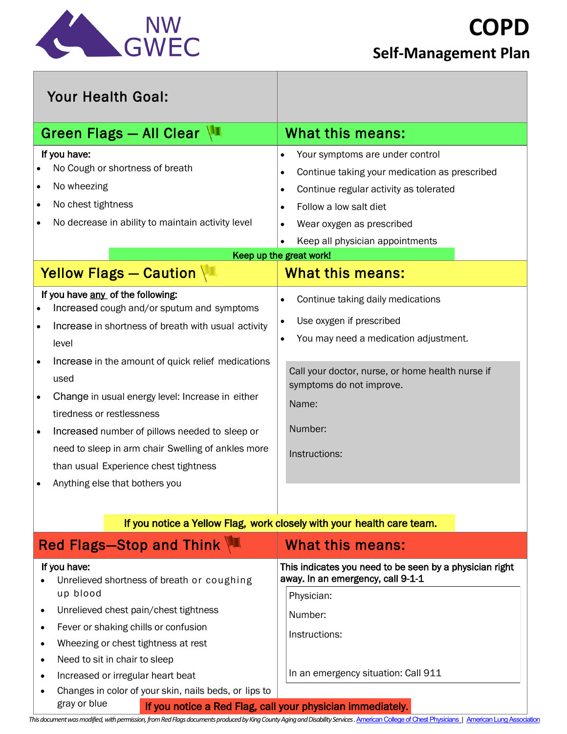

| <b>Your Health Goal:</b>                                                                                                                                                                                                                                                                                                                                                                                                                                                                                                                                        |                                                                                                                                                                                                                                                                                                     |
|-----------------------------------------------------------------------------------------------------------------------------------------------------------------------------------------------------------------------------------------------------------------------------------------------------------------------------------------------------------------------------------------------------------------------------------------------------------------------------------------------------------------------------------------------------------------|-----------------------------------------------------------------------------------------------------------------------------------------------------------------------------------------------------------------------------------------------------------------------------------------------------|
| Green Flags - All Clear                                                                                                                                                                                                                                                                                                                                                                                                                                                                                                                                         | <b>What this means:</b>                                                                                                                                                                                                                                                                             |
| If you have:<br>No Cough or shortness of breath<br>No wheezing<br>$\bullet$<br>No chest tightness<br>$\bullet$<br>No decrease in ability to maintain activity level<br>$\bullet$                                                                                                                                                                                                                                                                                                                                                                                | Your symptoms are under control<br>$\bullet$<br>Continue taking your medication as prescribed<br>$\bullet$<br>Continue regular activity as tolerated<br>$\bullet$<br>Follow a low salt diet<br>$\bullet$<br>Wear oxygen as prescribed<br>Keep all physician appointments<br>Keep up the great work! |
| Yellow Flags - Caution                                                                                                                                                                                                                                                                                                                                                                                                                                                                                                                                          | <b>What this means:</b>                                                                                                                                                                                                                                                                             |
| If you have any of the following:<br>Increased cough and/or sputum and symptoms<br>$\bullet$<br>Increase in shortness of breath with usual activity<br>$\bullet$<br>level<br>Increase in the amount of quick relief medications<br>$\bullet$<br>used<br>Change in usual energy level: Increase in either<br>$\bullet$<br>tiredness or restlessness<br>Increased number of pillows needed to sleep or<br>$\bullet$<br>need to sleep in arm chair Swelling of ankles more<br>than usual Experience chest tightness<br>Anything else that bothers you<br>$\bullet$ | Continue taking daily medications<br>$\bullet$<br>Use oxygen if prescribed<br>$\bullet$<br>You may need a medication adjustment.<br>$\bullet$<br>Call your doctor, nurse, or home health nurse if<br>symptoms do not improve.<br>Name:<br>Number:<br>Instructions:                                  |
| If you notice a Yellow Flag, work closely with your health care team.                                                                                                                                                                                                                                                                                                                                                                                                                                                                                           |                                                                                                                                                                                                                                                                                                     |
| <b>Red Flags-Stop and Think \*</b>                                                                                                                                                                                                                                                                                                                                                                                                                                                                                                                              | <b>What this means:</b>                                                                                                                                                                                                                                                                             |

|                                                                         | WHAL LIHƏ IH <del>g</del> ahə.                                                               |
|-------------------------------------------------------------------------|----------------------------------------------------------------------------------------------|
| If you have:<br>Unrelieved shortness of breath or coughing<br>$\bullet$ | This indicates you need to be seen by a physician right<br>away. In an emergency, call 9-1-1 |
| up blood                                                                | Physician:                                                                                   |
| Unrelieved chest pain/chest tightness<br>$\bullet$                      | Number:                                                                                      |
| Fever or shaking chills or confusion<br>$\bullet$                       | Instructions:                                                                                |
| Wheezing or chest tightness at rest<br>$\bullet$                        |                                                                                              |
| Need to sit in chair to sleep<br>$\bullet$                              |                                                                                              |
| Increased or irregular heart beat<br>$\bullet$                          | In an emergency situation: Call 911                                                          |
| Changes in color of your skin, nails beds, or lips to<br>$\bullet$      |                                                                                              |
| gray or blue                                                            | If you notice a Red Flag. call your physician immediately.                                   |

If you notice a Red Flag, call your physician immediately.

This document was modified, with permission, from Red Flags documents produced by King County Aging and Disability Services. American College of Chest Physicians | American Lung Association